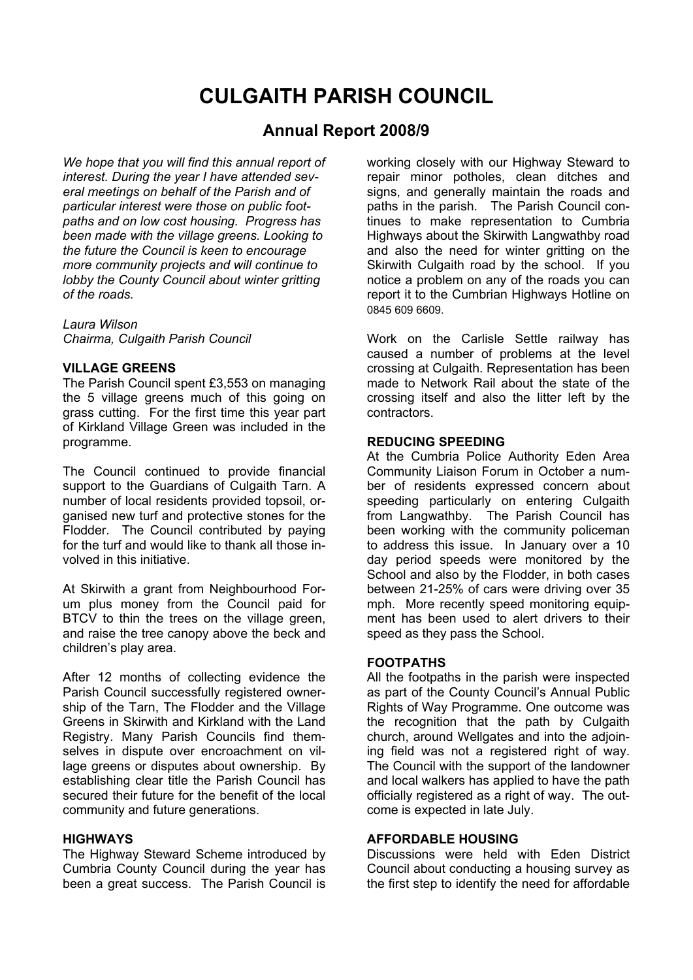# **CULGAITH PARISH COUNCIL**

# **Annual Report 2008/9**

*We hope that you will find this annual report of interest. During the year I have attended several meetings on behalf of the Parish and of particular interest were those on public footpaths and on low cost housing. Progress has been made with the village greens. Looking to the future the Council is keen to encourage more community projects and will continue to lobby the County Council about winter gritting of the roads.*

*Laura Wilson Chairma, Culgaith Parish Council*

#### **VILLAGE GREENS**

The Parish Council spent £3,553 on managing the 5 village greens much of this going on grass cutting. For the first time this year part of Kirkland Village Green was included in the programme.

The Council continued to provide financial support to the Guardians of Culgaith Tarn. A number of local residents provided topsoil, organised new turf and protective stones for the Flodder. The Council contributed by paying for the turf and would like to thank all those involved in this initiative.

At Skirwith a grant from Neighbourhood Forum plus money from the Council paid for BTCV to thin the trees on the village green, and raise the tree canopy above the beck and children's play area.

After 12 months of collecting evidence the Parish Council successfully registered ownership of the Tarn, The Flodder and the Village Greens in Skirwith and Kirkland with the Land Registry. Many Parish Councils find themselves in dispute over encroachment on village greens or disputes about ownership. By establishing clear title the Parish Council has secured their future for the benefit of the local community and future generations.

#### **HIGHWAYS**

The Highway Steward Scheme introduced by Cumbria County Council during the year has been a great success. The Parish Council is

working closely with our Highway Steward to repair minor potholes, clean ditches and signs, and generally maintain the roads and paths in the parish. The Parish Council continues to make representation to Cumbria Highways about the Skirwith Langwathby road and also the need for winter gritting on the Skirwith Culgaith road by the school. If you notice a problem on any of the roads you can report it to the Cumbrian Highways Hotline on 0845 609 6609.

Work on the Carlisle Settle railway has caused a number of problems at the level crossing at Culgaith. Representation has been made to Network Rail about the state of the crossing itself and also the litter left by the contractors.

# **REDUCING SPEEDING**

At the Cumbria Police Authority Eden Area Community Liaison Forum in October a number of residents expressed concern about speeding particularly on entering Culgaith from Langwathby. The Parish Council has been working with the community policeman to address this issue. In January over a 10 day period speeds were monitored by the School and also by the Flodder, in both cases between 21-25% of cars were driving over 35 mph. More recently speed monitoring equipment has been used to alert drivers to their speed as they pass the School.

## **FOOTPATHS**

All the footpaths in the parish were inspected as part of the County Council's Annual Public Rights of Way Programme. One outcome was the recognition that the path by Culgaith church, around Wellgates and into the adjoining field was not a registered right of way. The Council with the support of the landowner and local walkers has applied to have the path officially registered as a right of way. The outcome is expected in late July.

# **AFFORDABLE HOUSING**

Discussions were held with Eden District Council about conducting a housing survey as the first step to identify the need for affordable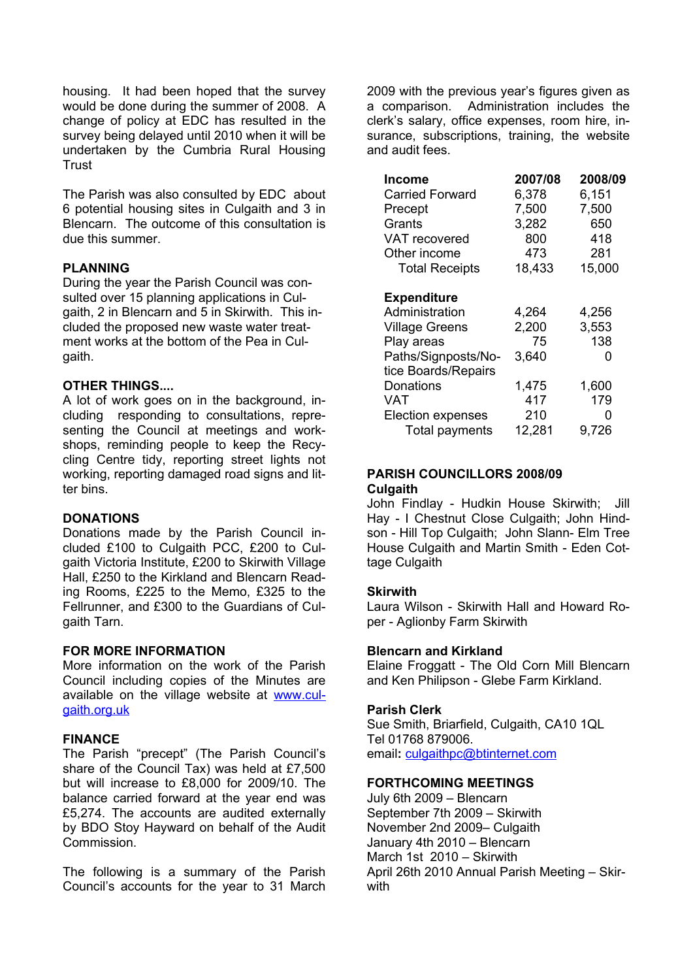housing. It had been hoped that the survey would be done during the summer of 2008. A change of policy at EDC has resulted in the survey being delayed until 2010 when it will be undertaken by the Cumbria Rural Housing **Trust** 

The Parish was also consulted by EDC about 6 potential housing sites in Culgaith and 3 in Blencarn. The outcome of this consultation is due this summer.

## **PLANNING**

During the year the Parish Council was consulted over 15 planning applications in Culgaith, 2 in Blencarn and 5 in Skirwith. This included the proposed new waste water treatment works at the bottom of the Pea in Culgaith.

#### **OTHER THINGS....**

A lot of work goes on in the background, including responding to consultations, representing the Council at meetings and workshops, reminding people to keep the Recycling Centre tidy, reporting street lights not working, reporting damaged road signs and litter bins.

### **DONATIONS**

Donations made by the Parish Council included £100 to Culgaith PCC, £200 to Culgaith Victoria Institute, £200 to Skirwith Village Hall, £250 to the Kirkland and Blencarn Reading Rooms, £225 to the Memo, £325 to the Fellrunner, and £300 to the Guardians of Culgaith Tarn.

#### **FOR MORE INFORMATION**

More information on the work of the Parish Council including copies of the Minutes are available on the village website at [www.cul](http://www.culgaith.org.uk)[gaith.org.uk](http://www.culgaith.org.uk)

# **FINANCE**

The Parish "precept" (The Parish Council's share of the Council Tax) was held at £7,500 but will increase to £8,000 for 2009/10. The balance carried forward at the year end was £5,274. The accounts are audited externally by BDO Stoy Hayward on behalf of the Audit Commission.

The following is a summary of the Parish Council's accounts for the year to 31 March

2009 with the previous year's figures given as a comparison. Administration includes the clerk's salary, office expenses, room hire, insurance, subscriptions, training, the website and audit fees.

| <b>Income</b>            | 2007/08 | 2008/09 |
|--------------------------|---------|---------|
| <b>Carried Forward</b>   | 6,378   | 6,151   |
| Precept                  | 7,500   | 7,500   |
| Grants                   | 3,282   | 650     |
| VAT recovered            | 800     | 418     |
| Other income             | 473     | 281     |
| <b>Total Receipts</b>    | 18,433  | 15,000  |
|                          |         |         |
| <b>Expenditure</b>       |         |         |
| Administration           | 4,264   | 4,256   |
| <b>Village Greens</b>    | 2,200   | 3,553   |
| Play areas               | 75      | 138     |
| Paths/Signposts/No-      | 3,640   | O       |
| tice Boards/Repairs      |         |         |
| Donations                | 1,475   | 1,600   |
| VAT                      | 417     | 179     |
| <b>Election expenses</b> | 210     | ი       |
| Total payments           | 12,281  | 9.726   |

#### **PARISH COUNCILLORS 2008/09 Culgaith**

John Findlay - Hudkin House Skirwith; Jill Hay - I Chestnut Close Culgaith; John Hindson - Hill Top Culgaith; John Slann- Elm Tree House Culgaith and Martin Smith - Eden Cottage Culgaith

# **Skirwith**

Laura Wilson - Skirwith Hall and Howard Roper - Aglionby Farm Skirwith

#### **Blencarn and Kirkland**

Elaine Froggatt - The Old Corn Mill Blencarn and Ken Philipson - Glebe Farm Kirkland.

#### **Parish Clerk**

Sue Smith, Briarfield, Culgaith, CA10 1QL Tel 01768 879006. email**:** [culgaithpc@btinternet.com](mailto:culgaithpc@btinternet.com)

#### **FORTHCOMING MEETINGS**

July 6th 2009 - Blencarn September 7th 2009 - Skirwith November 2nd 2009- Culgaith January 4th 2010 - Blencarn March 1st 2010 - Skirwith April 26th 2010 Annual Parish Meeting - Skirwith